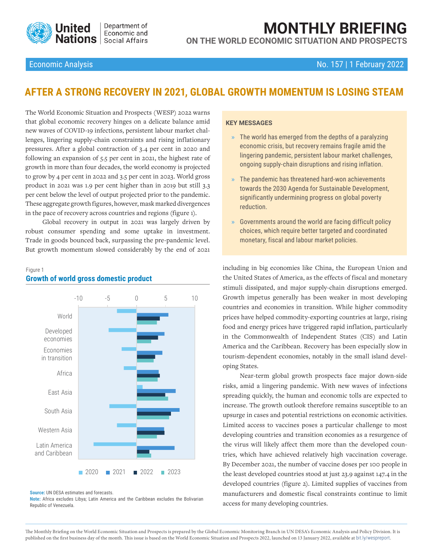

**MONTHLY BRIEFING ON THE WORLD ECONOMIC SITUATION AND PROSPECTS**

### Economic Analysis No. 157 | 1 February 2022

# **AFTER A STRONG RECOVERY IN 2021, GLOBAL GROWTH MOMENTUM IS LOSING STEAM**

The World Economic Situation and Prospects (WESP) 2022 warns that global economic recovery hinges on a delicate balance amid new waves of COVID-19 infections, persistent labour market challenges, lingering supply-chain constraints and rising inflationary pressures. After a global contraction of 3.4 per cent in 2020 and following an expansion of 5.5 per cent in 2021, the highest rate of growth in more than four decades, the world economy is projected to grow by 4 per cent in 2022 and 3.5 per cent in 2023. World gross product in 2021 was 1.9 per cent higher than in 2019 but still 3.3 per cent below the level of output projected prior to the pandemic. These aggregate growth figures, however, mask marked divergences in the pace of recovery across countries and regions (figure 1).

Global recovery in output in 2021 was largely driven by robust consumer spending and some uptake in investment. Trade in goods bounced back, surpassing the pre-pandemic level. But growth momentum slowed considerably by the end of 2021

#### Figure 1



### **Growth of world gross domestic product**

#### **Source:** UN DESA estimates and forecasts.

**Note:** Africa excludes Libya; Latin America and the Caribbean excludes the Bolivarian Republic of Venezuela.

#### **KEY MESSAGES**

- **»** The world has emerged from the depths of a paralyzing economic crisis, but recovery remains fragile amid the lingering pandemic, persistent labour market challenges, ongoing supply-chain disruptions and rising inflation.
- **»** The pandemic has threatened hard-won achievements towards the 2030 Agenda for Sustainable Development, significantly undermining progress on global poverty reduction.
- **»** Governments around the world are facing difficult policy choices, which require better targeted and coordinated monetary, fiscal and labour market policies.

including in big economies like China, the European Union and the United States of America, as the effects of fiscal and monetary stimuli dissipated, and major supply-chain disruptions emerged. Growth impetus generally has been weaker in most developing countries and economies in transition. While higher commodity prices have helped commodity-exporting countries at large, rising food and energy prices have triggered rapid inflation, particularly in the Commonwealth of Independent States (CIS) and Latin America and the Caribbean. Recovery has been especially slow in tourism-dependent economies, notably in the small island developing States.

Near-term global growth prospects face major down-side risks, amid a lingering pandemic. With new waves of infections spreading quickly, the human and economic tolls are expected to increase. The growth outlook therefore remains susceptible to an upsurge in cases and potential restrictions on economic activities. Limited access to vaccines poses a particular challenge to most developing countries and transition economies as a resurgence of the virus will likely affect them more than the developed countries, which have achieved relatively high vaccination coverage. By December 2021, the number of vaccine doses per 100 people in the least developed countries stood at just 23.9 against 147.4 in the developed countries (figure 2). Limited supplies of vaccines from manufacturers and domestic fiscal constraints continue to limit access for many developing countries.

The Monthly Briefing on the World Economic Situation and Prospects is prepared by the Global Economic Monitoring Branch in UN DESA's Economic Analysis and Policy Division. It is published on the first business day of the month. This issue is based on the World Economic Situation and Prospects 2022, launched on 13 January 2022, available at [bit.ly/wespreport](http://bit.ly/wespreport).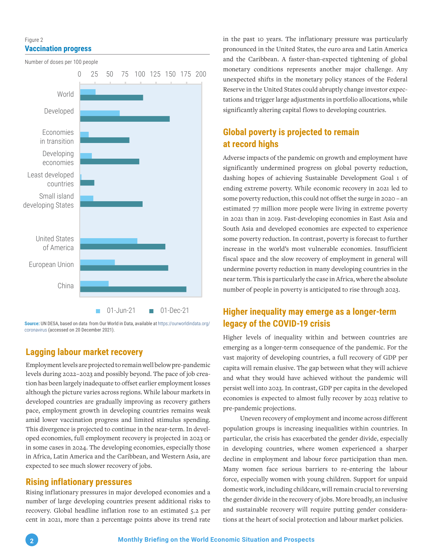### Figure 2 **Vaccination progress**

Number of doses per 100 people

0 25 50 75 100 125 150 175 200 World Developed Economies in transition Developing economies Least developed countries Small island developing States United States of America European Union China 01-Jun-21 01-Dec-21

**Source:** UN DESA, based on data from Our World in Data, available at [https://ourworldindata.org/](https://ourworldindata.org/coronavirus ) [coronavirus](https://ourworldindata.org/coronavirus ) (accessed on 20 December 2021).

# **Lagging labour market recovery**

Employment levels are projected to remain well below pre-pandemic levels during 2022–2023 and possibly beyond. The pace of job creation has been largely inadequate to offset earlier employment losses although the picture varies across regions. While labour markets in developed countries are gradually improving as recovery gathers pace, employment growth in developing countries remains weak amid lower vaccination progress and limited stimulus spending. This divergence is projected to continue in the near-term. In developed economies, full employment recovery is projected in 2023 or in some cases in 2024. The developing economies, especially those in Africa, Latin America and the Caribbean, and Western Asia, are expected to see much slower recovery of jobs.

### **Rising inflationary pressures**

Rising inflationary pressures in major developed economies and a number of large developing countries present additional risks to recovery. Global headline inflation rose to an estimated 5.2 per cent in 2021, more than 2 percentage points above its trend rate

in the past 10 years. The inflationary pressure was particularly pronounced in the United States, the euro area and Latin America and the Caribbean. A faster-than-expected tightening of global monetary conditions represents another major challenge. Any unexpected shifts in the monetary policy stances of the Federal Reserve in the United States could abruptly change investor expectations and trigger large adjustments in portfolio allocations, while significantly altering capital flows to developing countries.

# **Global poverty is projected to remain at record highs**

Adverse impacts of the pandemic on growth and employment have significantly undermined progress on global poverty reduction, dashing hopes of achieving Sustainable Development Goal 1 of ending extreme poverty. While economic recovery in 2021 led to some poverty reduction, this could not offset the surge in 2020 – an estimated 77 million more people were living in extreme poverty in 2021 than in 2019. Fast-developing economies in East Asia and South Asia and developed economies are expected to experience some poverty reduction. In contrast, poverty is forecast to further increase in the world's most vulnerable economies. Insufficient fiscal space and the slow recovery of employment in general will undermine poverty reduction in many developing countries in the near term. This is particularly the case in Africa, where the absolute number of people in poverty is anticipated to rise through 2023.

## **Higher inequality may emerge as a longer-term legacy of the COVID-19 crisis**

Higher levels of inequality within and between countries are emerging as a longer-term consequence of the pandemic. For the vast majority of developing countries, a full recovery of GDP per capita will remain elusive. The gap between what they will achieve and what they would have achieved without the pandemic will persist well into 2023. In contrast, GDP per capita in the developed economies is expected to almost fully recover by 2023 relative to pre-pandemic projections.

Uneven recovery of employment and income across different population groups is increasing inequalities within countries. In particular, the crisis has exacerbated the gender divide, especially in developing countries, where women experienced a sharper decline in employment and labour force participation than men. Many women face serious barriers to re-entering the labour force, especially women with young children. Support for unpaid domestic work, including childcare, will remain crucial to reversing the gender divide in the recovery of jobs. More broadly, an inclusive and sustainable recovery will require putting gender considerations at the heart of social protection and labour market policies.